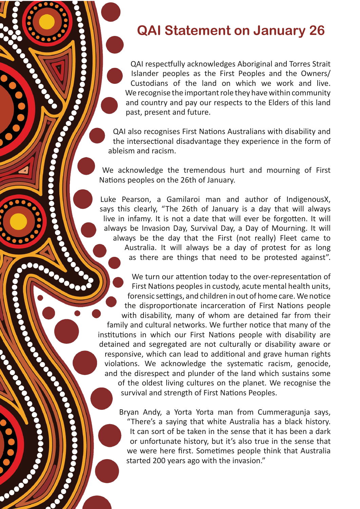## **QAI Statement on January 26**

QAI respectfully acknowledges Aboriginal and Torres Strait Islander peoples as the First Peoples and the Owners/ Custodians of the land on which we work and live. We recognise the important role they have within community and country and pay our respects to the Elders of this land past, present and future.

QAI also recognises First Nations Australians with disability and the intersectional disadvantage they experience in the form of ableism and racism.

We acknowledge the tremendous hurt and mourning of First Nations peoples on the 26th of January.

Luke Pearson, a Gamilaroi man and author of IndigenousX, says this clearly, "The 26th of January is a day that will always live in infamy. It is not a date that will ever be forgotten. It will always be Invasion Day, Survival Day, a Day of Mourning. It will always be the day that the First (not really) Fleet came to Australia. It will always be a day of protest for as long as there are things that need to be protested against".

We turn our attention today to the over-representation of First Nations peoples in custody, acute mental health units, forensic settings, and children in out of home care. We notice the disproportionate incarceration of First Nations people with disability, many of whom are detained far from their family and cultural networks. We further notice that many of the institutions in which our First Nations people with disability are detained and segregated are not culturally or disability aware or responsive, which can lead to additional and grave human rights violations. We acknowledge the systematic racism, genocide, and the disrespect and plunder of the land which sustains some of the oldest living cultures on the planet. We recognise the survival and strength of First Nations Peoples.

Bryan Andy, a Yorta Yorta man from Cummeragunja says, "There's a saying that white Australia has a black history. It can sort of be taken in the sense that it has been a dark or unfortunate history, but it's also true in the sense that we were here first. Sometimes people think that Australia started 200 years ago with the invasion."